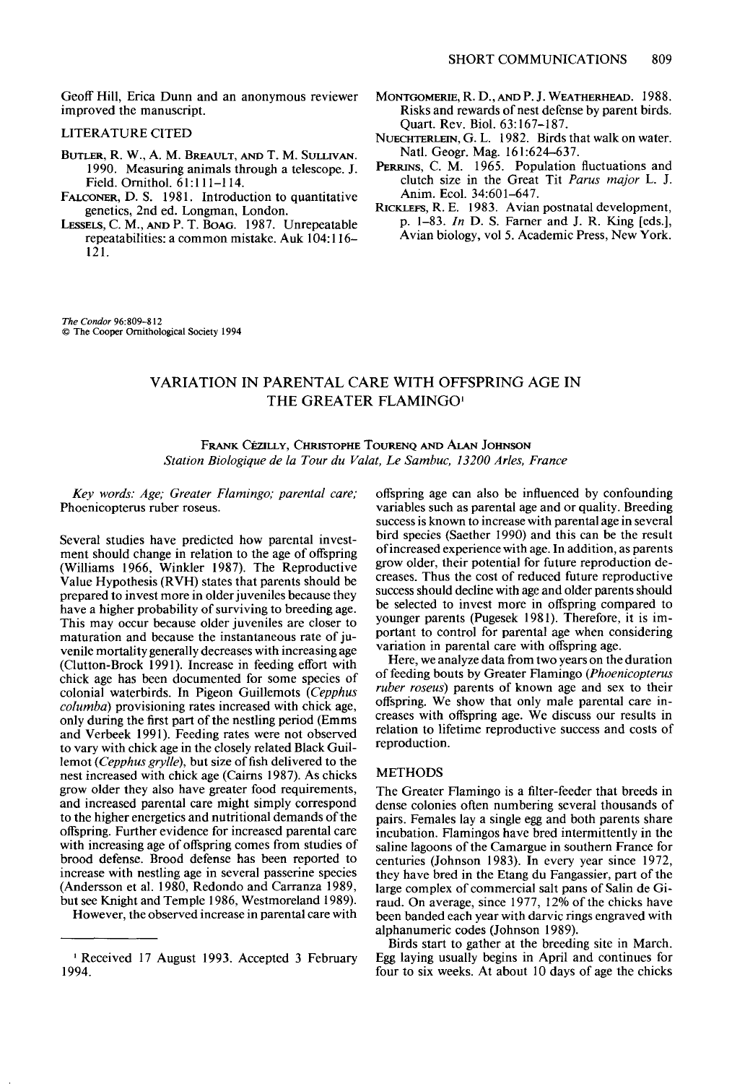**Geoff Hill, Erica Dunn and an anonymous reviewer improved the manuscript.** 

## **LITERATURE CITED**

- **BUTLER, R. W., A. M. BREAULT, AND T. M. SULLIVAN. 1990. Measuring animals through a telescope. J. Field. Omithol. 61:11 l-l 14.**
- FALCONER, D. S. 1981. Introduction to quantitative **genetics, 2nd ed. Longman, London.**
- LESSELS, C. M., AND P. T. BOAG. 1987. Unrepeatable **repeatabilities: a common mistake. Auk 104: 116- 121.**

**MONTGOMERIE, R. D., AND P. J. WEATHERHEAD. 1988. Risks and rewards of nest defense by parent birds. Quart. Rev. Biol. 63: 167-l 87.** 

- NUECHTERLEIN, G. L. 1982. Birds that walk on water. **Natl. Geozr. Mae. 161:624-637.**
- PERRINS, C. M. 1965. Population fluctuations and **clutch size in the Great Tit Parus major L. J. Anim. Ecol. 34:601-647.**
- **RICKLEFS, R. E. 1983. Avian postnatal development, p. l-83. In D. S. Famer and J. R. Ring [eds.],**  Avian biology, vol 5. Academic Press, New York.

**The Condor 962309-812 0 The Cooper Ornithological Society 1994** 

## **VARIATION IN PARENTAL CARE WITH OFFSPRING AGE IN THE GREATER FLAMINGO'**

**FRANK CÉZILLY, CHRISTOPHE TOURENO AND ALAN JOHNSON Station Biologique de la Tour du Valat. Le Sambuc, 13200 Aries, France** 

**Key words: Age; Greater Flamingo; parental care; Phoenicopterus ruber roseus.** 

**Several studies have predicted how parental investment should change in relation to the age of offspring (Williams 1966, Winkler 1987). The Reproductive Value Hypothesis (RVH) states that parents should be prepared to invest more in older juveniles because they have a higher probability of surviving to breeding age. This may occur because older juveniles are closer to maturation and because the instantaneous rate of juvenile mortality generally decreases with increasing age (Clutton-Brock 199 1). Increase in feeding effort with chick age has been documented for some species of colonial waterbirds. In Pigeon Guillemots (Cepphus columba) provisioning rates increased with chick age, only during the first part of the nestling period (Emms and Verbeek 1991). Feeding rates were not observed to vary with chick age in the closely related Black Guillemot (Cepphus grylle), but size of fish delivered to the nest increased with chick age (Cairns 1987). As chicks grow older they also have greater food requirements, and increased parental care might simply correspond to the higher energetics and nutritional demands of the offspring. Further evidence for increased parental care with increasing age of offspring comes from studies of brood defense. Brood defense has been reported to increase with nestling age in several passerine species (Andersson et al. 1980. Redondo and Carranza 1989, but see Knight and Temple 1986, Westmoreland 1989).** 

**However, the observed increase in parental care with** 

**offspring age can also be influenced by confounding variables such as parental age and or quality. Breeding success is known to increase with parental age in several bird species (Saether 1990) and this can be the result of increased experience with age. In addition, as parents grow older, their potential for future reproduction decreases. Thus the cost of reduced future reproductive**  success should decline with age and older parents should **be selected to invest more in offspring compared to younger parents (Pugesek 198 1). Therefore, it is important to control for parental age when considering variation in parental care with offspring age.** 

**Here, we analyze data from two years on the duration of feeding bouts by Greater Flamingo (Phoenicopterus ruber roseus) parents of known age and sex to their offspring. We show that only male parental care increases with offspring age. We discuss our results in relation to lifetime reproductive success and costs of reproduction.** 

## **METHODS**

**The Greater Flamingo is a filter-feeder that breeds in dense colonies often numbering several thousands of pairs. Females lay a single egg and both parents share incubation. Flamingos have bred intermittently in the saline lagoons of the Camargue in southern France for centuries (Johnson 1983). In every year since 1972, they have bred in the Etang du Fangassier, part of the large complex of commercial salt pans of Salin de Giraud. On average, since 1977, 12% of the chicks have been banded each year with darvic rings engraved with alphanumeric codes (Johnson 1989).** 

**Birds start to gather at the breeding site in March. Egg laying usually begins in April and continues for four to six weeks. At about 10 days of age the chicks** 

**<sup>&#</sup>x27; Received 17 August 1993. Accepted 3 February 1994.**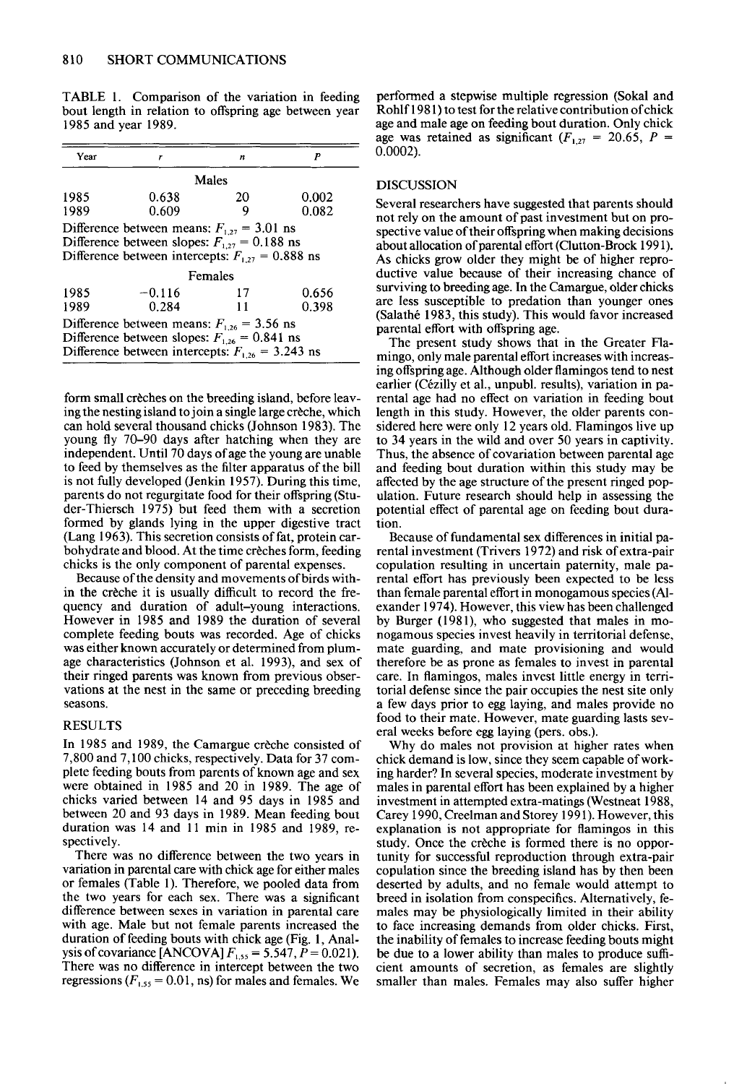**bout length in relation to offspring age between year Rohlf 198 1) to test for the relative contribution of chick 1985 and year 1989. age and male age on feeding bout duration. Only chick** 

| Year                                                                                                                                                       | r                 | n        | P              | $0.0002$ ).                               |
|------------------------------------------------------------------------------------------------------------------------------------------------------------|-------------------|----------|----------------|-------------------------------------------|
|                                                                                                                                                            |                   | Males    |                | <b>DISCUS</b>                             |
| 1985<br>1989                                                                                                                                               | 0.638<br>0.609    | 20<br>9  | 0.002<br>0.082 | Several r<br>not rely o                   |
| Difference between means: $F_{1,27} = 3.01$ ns<br>Difference between slopes: $F_{1,27} = 0.188$ ns<br>Difference between intercepts: $F_{127} = 0.888$ ns  |                   |          |                | spective<br>about all<br>As chick         |
| Females                                                                                                                                                    |                   |          |                | ductive :                                 |
| 1985<br>1989                                                                                                                                               | $-0.116$<br>0.284 | 17<br>11 | 0.656<br>0.398 | surviving<br>are less                     |
| Difference between means: $F_{1,26} = 3.56$ ns<br>Difference between slopes: $F_{1,26} = 0.841$ ns<br>Difference between intercepts: $F_{1,26} = 3.243$ ns |                   |          |                | (Salathé<br>parental<br>The p<br>mingo, o |

**form small creches on the breeding island, before leaving the nesting island to join a single large creche, which can hold several thousand chicks (Johnson 1983). The young fly 70-90 days after hatching when they are independent. Until 70 days of age the young are unable to feed by themselves as the filter apparatus of the bill is not fully developed (Jenkin 1957). During this time, parents do not regurgitate food for their offspring (Studer-Thiersch 1975) but feed them with a secretion formed by glands lying in the upper digestive tract (Lang 1963). This secretion consists of fat, protein carbohydrate and blood. At the time creches form, feeding chicks is the only component of parental expenses.** 

**Because of the density and movements of birds within the creche it is usually difficult to record the frequency and duration of adult-young interactions. However in 1985 and 1989 the duration of several complete feeding bouts was recorded. Age of chicks was either known accurately or determined from plumage characteristics (Johnson et al. 1993) and sex of their ringed parents was known from previous observations at the nest in the same or preceding breeding seasons.** 

#### **RESULTS**

In 1985 and 1989, the Camargue crèche consisted of **7,800 and 7,100 chicks, respectively. Data for 37 complete feeding bouts from parents of known age and sex were obtained in 1985 and 20 in 1989. The age of chicks varied between 14 and 95 days in 1985 and between 20 and 93 days in 1989. Mean feeding bout duration was 14 and 11 min in 1985 and 1989, respectively.** 

**There was no difference between the two years in variation in parental care with chick age for either males or females (Table 1). Therefore, we pooled data from the two years for each sex. There was a significant difference between sexes in variation in parental care with age. Male but not female parents increased the duration of feeding bouts with chick age (Fig. 1, Analysis of covariance [ANCOVA]**  $F_{1,55} = 5.547$ ,  $P = 0.021$ ). **There was no difference in intercept between the two**   $regressions$  ( $F_{1,55} = 0.01$ , ns) for males and females. We

**TABLE 1. Comparison of the variation in feeding performed a stepwise multiple regression (Sokal and**  age was retained as significant  $(F_{1,27} = 20.65, P =$ 

### **DISCUSSION**

**Several researchers have suggested that parents should not rely on the amount of past investment but on prospective value of their offspring when making decisions about allocation of parental effort (Clutton-Brock 199 1). As chicks grow older they might be of higher reproductive value because of their increasing chance of surviving to breeding age. In the Camargue, older chicks are less susceptible to predation than younger ones (Salathe 1983, this study). This would favor increased parental effort with offspring age.** 

**The present study shows that in the Greater Flamingo, only male parental effort increases with increasing offspring age. Although older flamingos tend to nest**  earlier (Cézilly et al., unpubl. results), variation in pa**rental age had no effect on variation in feeding bout length in this study. However, the older parents considered here were only 12 years old. Flamingos live up to 34 years in the wild and over 50 years in captivity. Thus, the absence of covariation between parental age and feeding bout duration within this study may be affected by the age structure of the present ringed population. Future research should help in assessing the potential effect of parental age on feeding bout duration.** 

**Because of fundamental sex differences in initial pa**rental investment (Trivers 1972) and risk of extra-pair **copulation resulting in uncertain paternity, male-parental effort has previously been expected to be less than female parental effort in monogamous species (Alexander 1974). However, this view has been challenged**  by Burger (1981), who suggested that males in mo**nogamous species invest heavily in territorial defense, mate guarding, and mate provisioning and would therefore be as prone as females to invest in parental**  care. In flamingos, males invest little energy in terri**torial defense since the pair occupies the nest site only a few days prior to egg laying, and males provide no food to their mate. However, mate guarding lasts several weeks before egg laying (pers. obs.).** 

**Why do males not provision at higher rates when chick demand is low, since they seem capable of working harder? In several species, moderate investment by males in parental effort has been explained by a higher investment in attempted extra-matings (Westneat 1988, Carey 1990, Creelman and Storey 199 1). However, this explanation is not appropriate for flamingos in this study. Once the creche is formed there is no opportunity for successful reproduction through extra-pair copulation since the breeding island has by then been deserted by adults, and no female would attempt to breed in isolation from conspecifics. Alternatively, females may be physiologically limited in their ability to face increasing demands from older chicks. First, the inability of females to increase feeding bouts might be due to a lower ability than males to produce sufficient amounts of secretion, as females are slightly smaller than males. Females may also suffer higher**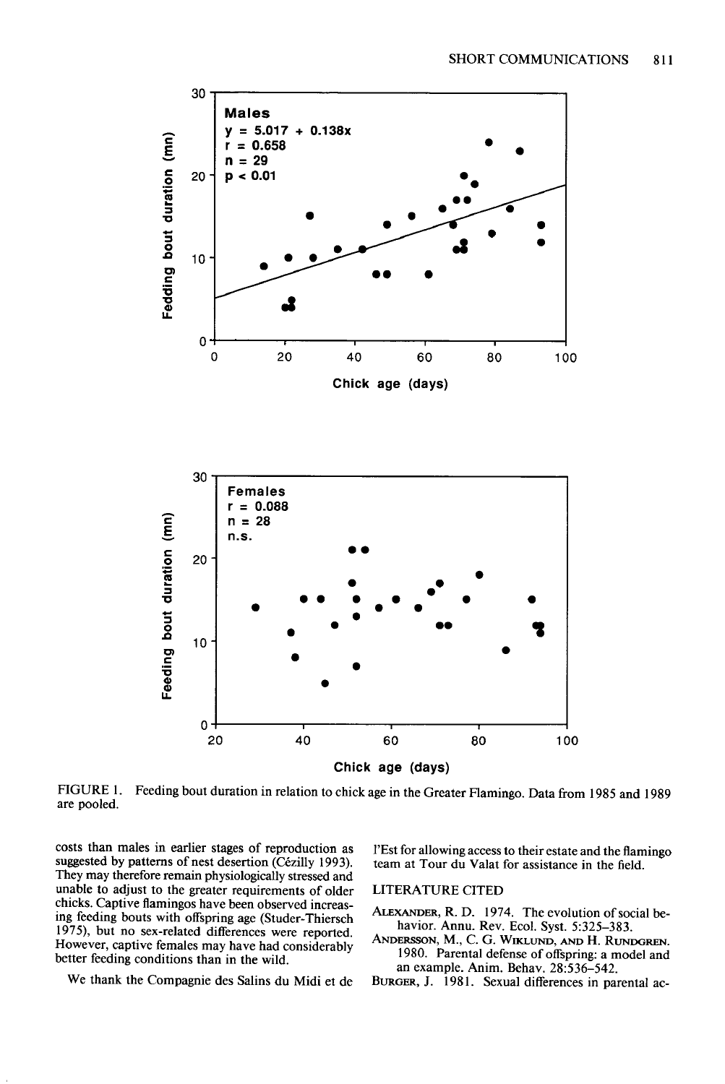



**FIGURE 1. Feeding bout duration in relation to chick age in the Greater Flamingo. Data from 1985 and 1989 are pooled.** 

**costs than males in earlier stages of reproduction as**  suggested by patterns of nest desertion (Cézilly 1993). **They may therefore remain physiologically stressed and unable to adjust to the greater requirements of older chicks. Captive flamingos have been observed increasing feeding bouts with offspring age (Studer-Thiersch 1975) but no sex-related differences were reported. However, captive females may have had considerably better feeding conditions than in the wild.** 

**I'Est for allowing access to their estate and the flamingo team at Tour du Valat for assistance in the field.** 

**LITERATURE CITED** 

- **ALEXANDER, R. D. 1974. The evolution of social behavior. Annu. Rev. Ecol. Syst. 5:325-383.**
- **ANDERSSON, M., C. G. WIKLUND, AND H. RLINDGREN. 1980. Parental defense of offspring: a model and an example. Anim. Behav. 28:536-542.**

**We thank the Compagnie des Salins du Midi et de** 

BURGER, J. 1981. Sexual differences in parental ac-